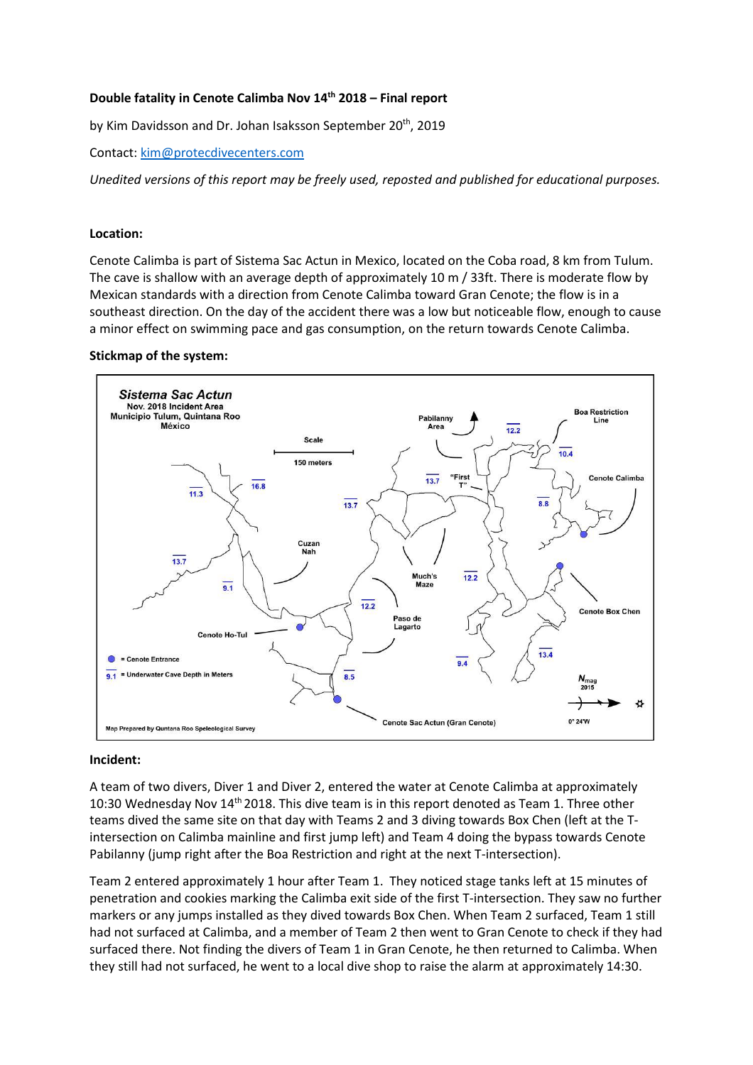## **Double fatality in Cenote Calimba Nov 14th 2018 – Final report**

by Kim Davidsson and Dr. Johan Isaksson September 20<sup>th</sup>, 2019

Contact: [kim@protecdivecenters.com](mailto:kim@protecdivecenters.com)

*Unedited versions of this report may be freely used, reposted and published for educational purposes.*

### **Location:**

Cenote Calimba is part of Sistema Sac Actun in Mexico, located on the Coba road, 8 km from Tulum. The cave is shallow with an average depth of approximately 10 m / 33ft. There is moderate flow by Mexican standards with a direction from Cenote Calimba toward Gran Cenote; the flow is in a southeast direction. On the day of the accident there was a low but noticeable flow, enough to cause a minor effect on swimming pace and gas consumption, on the return towards Cenote Calimba.

### **Stickmap of the system:**



### **Incident:**

A team of two divers, Diver 1 and Diver 2, entered the water at Cenote Calimba at approximately 10:30 Wednesday Nov  $14<sup>th</sup>$  2018. This dive team is in this report denoted as Team 1. Three other teams dived the same site on that day with Teams 2 and 3 diving towards Box Chen (left at the Tintersection on Calimba mainline and first jump left) and Team 4 doing the bypass towards Cenote Pabilanny (jump right after the Boa Restriction and right at the next T-intersection).

Team 2 entered approximately 1 hour after Team 1. They noticed stage tanks left at 15 minutes of penetration and cookies marking the Calimba exit side of the first T-intersection. They saw no further markers or any jumps installed as they dived towards Box Chen. When Team 2 surfaced, Team 1 still had not surfaced at Calimba, and a member of Team 2 then went to Gran Cenote to check if they had surfaced there. Not finding the divers of Team 1 in Gran Cenote, he then returned to Calimba. When they still had not surfaced, he went to a local dive shop to raise the alarm at approximately 14:30.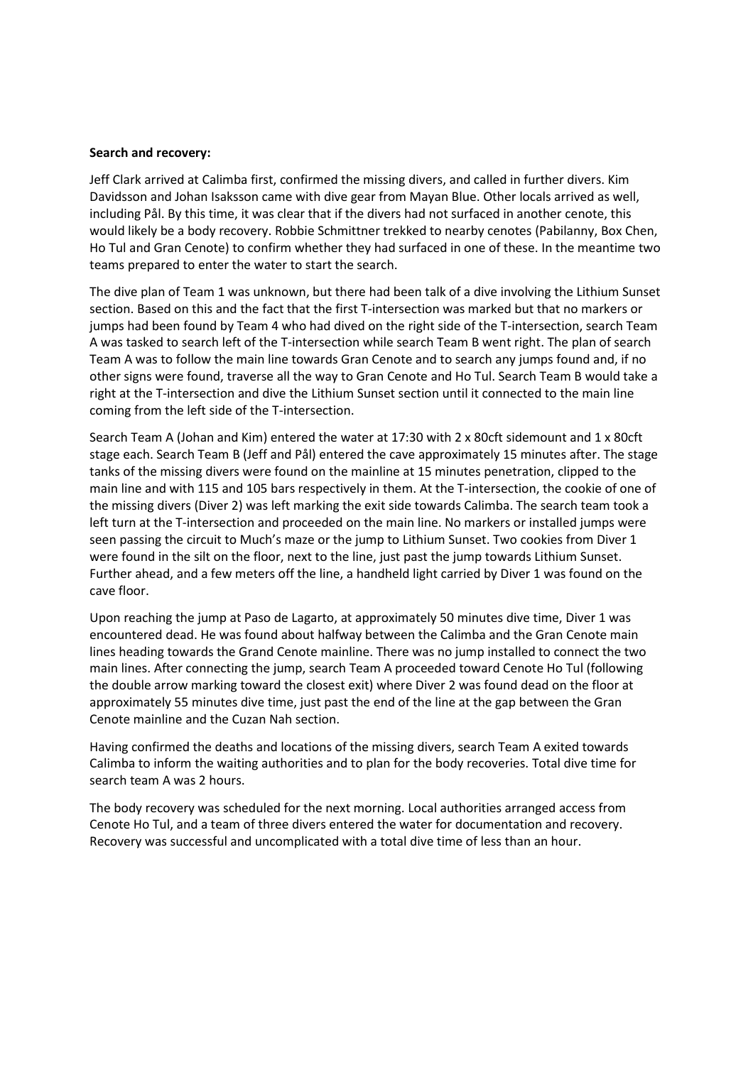### **Search and recovery:**

Jeff Clark arrived at Calimba first, confirmed the missing divers, and called in further divers. Kim Davidsson and Johan Isaksson came with dive gear from Mayan Blue. Other locals arrived as well, including Pål. By this time, it was clear that if the divers had not surfaced in another cenote, this would likely be a body recovery. Robbie Schmittner trekked to nearby cenotes (Pabilanny, Box Chen, Ho Tul and Gran Cenote) to confirm whether they had surfaced in one of these. In the meantime two teams prepared to enter the water to start the search.

The dive plan of Team 1 was unknown, but there had been talk of a dive involving the Lithium Sunset section. Based on this and the fact that the first T-intersection was marked but that no markers or jumps had been found by Team 4 who had dived on the right side of the T-intersection, search Team A was tasked to search left of the T-intersection while search Team B went right. The plan of search Team A was to follow the main line towards Gran Cenote and to search any jumps found and, if no other signs were found, traverse all the way to Gran Cenote and Ho Tul. Search Team B would take a right at the T-intersection and dive the Lithium Sunset section until it connected to the main line coming from the left side of the T-intersection.

Search Team A (Johan and Kim) entered the water at 17:30 with 2 x 80cft sidemount and 1 x 80cft stage each. Search Team B (Jeff and Pål) entered the cave approximately 15 minutes after. The stage tanks of the missing divers were found on the mainline at 15 minutes penetration, clipped to the main line and with 115 and 105 bars respectively in them. At the T-intersection, the cookie of one of the missing divers (Diver 2) was left marking the exit side towards Calimba. The search team took a left turn at the T-intersection and proceeded on the main line. No markers or installed jumps were seen passing the circuit to Much's maze or the jump to Lithium Sunset. Two cookies from Diver 1 were found in the silt on the floor, next to the line, just past the jump towards Lithium Sunset. Further ahead, and a few meters off the line, a handheld light carried by Diver 1 was found on the cave floor.

Upon reaching the jump at Paso de Lagarto, at approximately 50 minutes dive time, Diver 1 was encountered dead. He was found about halfway between the Calimba and the Gran Cenote main lines heading towards the Grand Cenote mainline. There was no jump installed to connect the two main lines. After connecting the jump, search Team A proceeded toward Cenote Ho Tul (following the double arrow marking toward the closest exit) where Diver 2 was found dead on the floor at approximately 55 minutes dive time, just past the end of the line at the gap between the Gran Cenote mainline and the Cuzan Nah section.

Having confirmed the deaths and locations of the missing divers, search Team A exited towards Calimba to inform the waiting authorities and to plan for the body recoveries. Total dive time for search team A was 2 hours.

The body recovery was scheduled for the next morning. Local authorities arranged access from Cenote Ho Tul, and a team of three divers entered the water for documentation and recovery. Recovery was successful and uncomplicated with a total dive time of less than an hour.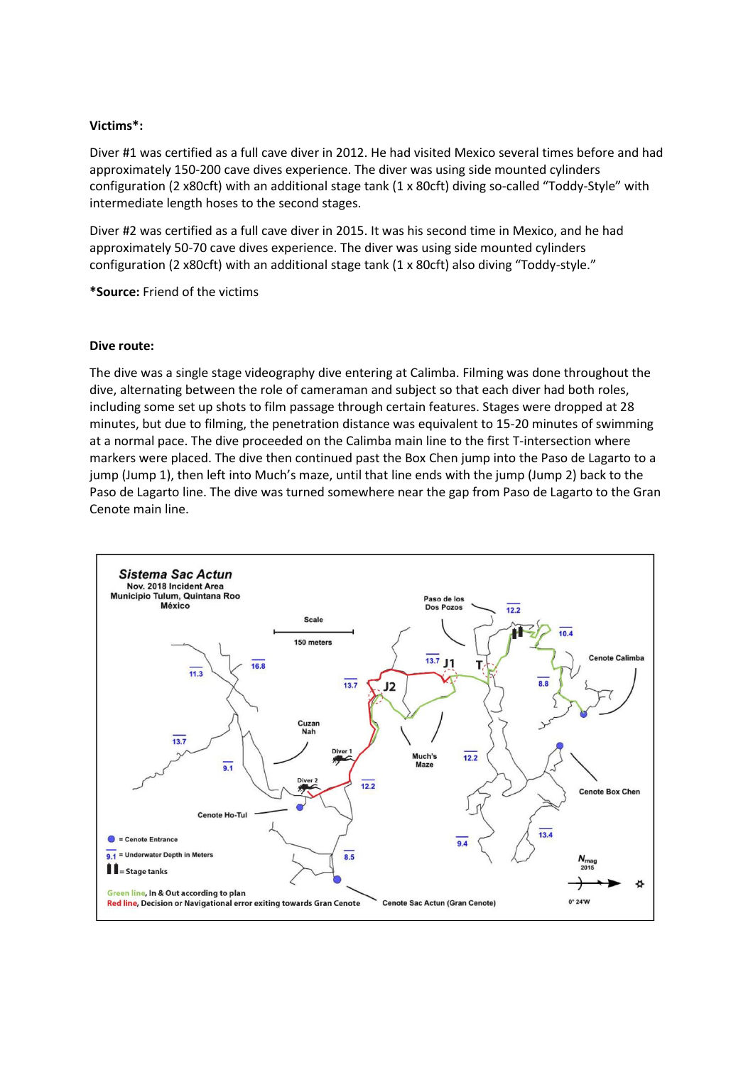## **Victims\*:**

Diver #1 was certified as a full cave diver in 2012. He had visited Mexico several times before and had approximately 150-200 cave dives experience. The diver was using side mounted cylinders configuration (2 x80cft) with an additional stage tank (1 x 80cft) diving so-called "Toddy-Style" with intermediate length hoses to the second stages.

Diver #2 was certified as a full cave diver in 2015. It was his second time in Mexico, and he had approximately 50-70 cave dives experience. The diver was using side mounted cylinders configuration (2 x80cft) with an additional stage tank (1 x 80cft) also diving "Toddy-style."

**\*Source:** Friend of the victims

### **Dive route:**

The dive was a single stage videography dive entering at Calimba. Filming was done throughout the dive, alternating between the role of cameraman and subject so that each diver had both roles, including some set up shots to film passage through certain features. Stages were dropped at 28 minutes, but due to filming, the penetration distance was equivalent to 15-20 minutes of swimming at a normal pace. The dive proceeded on the Calimba main line to the first T-intersection where markers were placed. The dive then continued past the Box Chen jump into the Paso de Lagarto to a jump (Jump 1), then left into Much's maze, until that line ends with the jump (Jump 2) back to the Paso de Lagarto line. The dive was turned somewhere near the gap from Paso de Lagarto to the Gran Cenote main line.

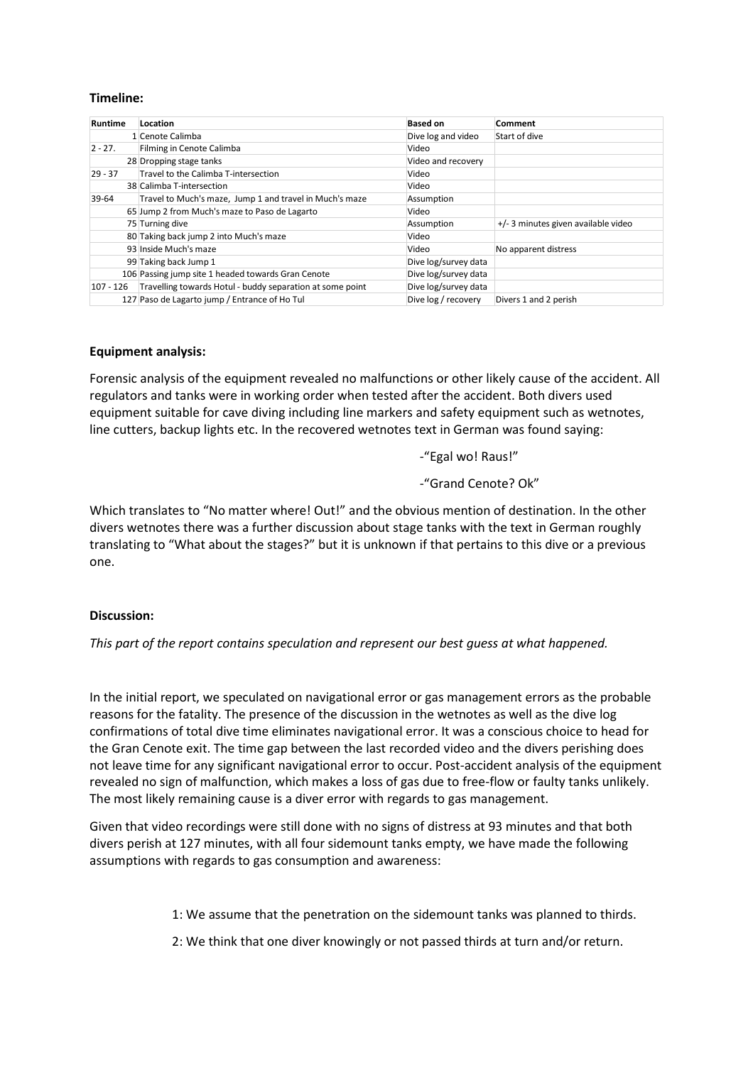## **Timeline:**

| Runtime    | Location                                                  | <b>Based on</b>      | Comment                             |
|------------|-----------------------------------------------------------|----------------------|-------------------------------------|
|            | 1 Cenote Calimba                                          | Dive log and video   | Start of dive                       |
| $2 - 27$ . | Filming in Cenote Calimba                                 | Video                |                                     |
|            | 28 Dropping stage tanks                                   | Video and recovery   |                                     |
| $29 - 37$  | Travel to the Calimba T-intersection                      | Video                |                                     |
|            | 38 Calimba T-intersection                                 | Video                |                                     |
| 39-64      | Travel to Much's maze, Jump 1 and travel in Much's maze   | Assumption           |                                     |
|            | 65 Jump 2 from Much's maze to Paso de Lagarto             | Video                |                                     |
|            | 75 Turning dive                                           | Assumption           | +/- 3 minutes given available video |
|            | 80 Taking back jump 2 into Much's maze                    | Video                |                                     |
|            | 93 Inside Much's maze                                     | Video                | No apparent distress                |
|            | 99 Taking back Jump 1                                     | Dive log/survey data |                                     |
|            | 106 Passing jump site 1 headed towards Gran Cenote        | Dive log/survey data |                                     |
| 107 - 126  | Travelling towards Hotul - buddy separation at some point | Dive log/survey data |                                     |
|            | 127 Paso de Lagarto jump / Entrance of Ho Tul             | Dive log / recovery  | Divers 1 and 2 perish               |

### **Equipment analysis:**

Forensic analysis of the equipment revealed no malfunctions or other likely cause of the accident. All regulators and tanks were in working order when tested after the accident. Both divers used equipment suitable for cave diving including line markers and safety equipment such as wetnotes, line cutters, backup lights etc. In the recovered wetnotes text in German was found saying:

- -"Egal wo! Raus!"
- -"Grand Cenote? Ok"

Which translates to "No matter where! Out!" and the obvious mention of destination. In the other divers wetnotes there was a further discussion about stage tanks with the text in German roughly translating to "What about the stages?" but it is unknown if that pertains to this dive or a previous one.

### **Discussion:**

*This part of the report contains speculation and represent our best guess at what happened.*

In the initial report, we speculated on navigational error or gas management errors as the probable reasons for the fatality. The presence of the discussion in the wetnotes as well as the dive log confirmations of total dive time eliminates navigational error. It was a conscious choice to head for the Gran Cenote exit. The time gap between the last recorded video and the divers perishing does not leave time for any significant navigational error to occur. Post-accident analysis of the equipment revealed no sign of malfunction, which makes a loss of gas due to free-flow or faulty tanks unlikely. The most likely remaining cause is a diver error with regards to gas management.

Given that video recordings were still done with no signs of distress at 93 minutes and that both divers perish at 127 minutes, with all four sidemount tanks empty, we have made the following assumptions with regards to gas consumption and awareness:

1: We assume that the penetration on the sidemount tanks was planned to thirds.

2: We think that one diver knowingly or not passed thirds at turn and/or return.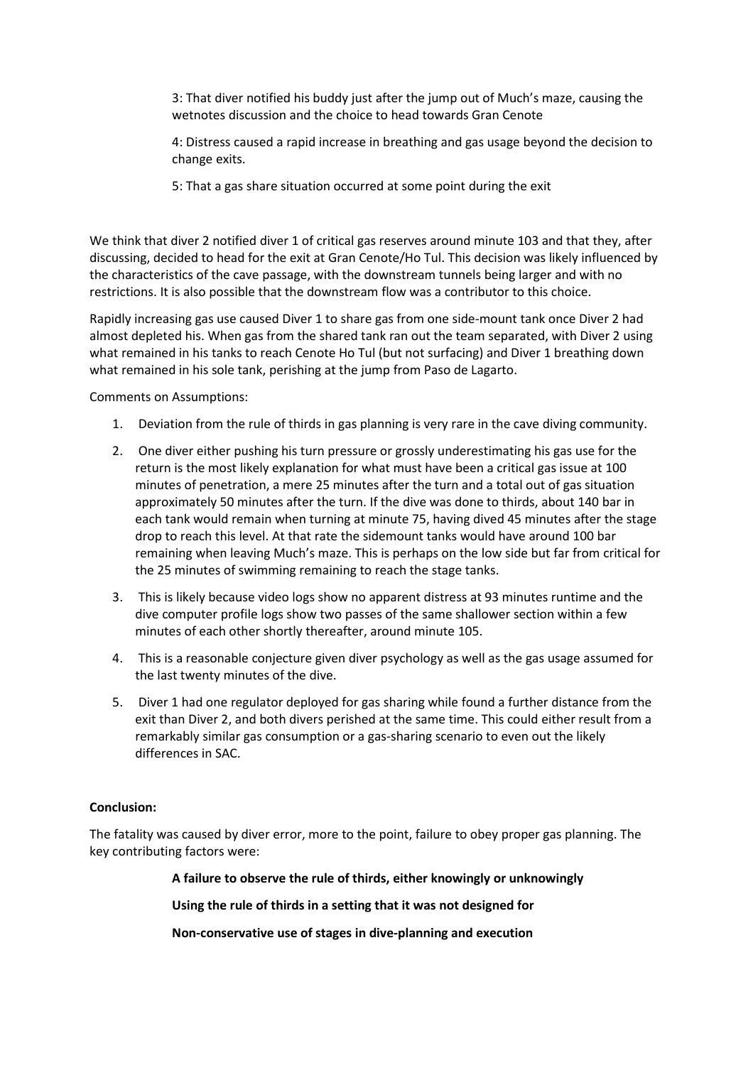3: That diver notified his buddy just after the jump out of Much's maze, causing the wetnotes discussion and the choice to head towards Gran Cenote

4: Distress caused a rapid increase in breathing and gas usage beyond the decision to change exits.

5: That a gas share situation occurred at some point during the exit

We think that diver 2 notified diver 1 of critical gas reserves around minute 103 and that they, after discussing, decided to head for the exit at Gran Cenote/Ho Tul. This decision was likely influenced by the characteristics of the cave passage, with the downstream tunnels being larger and with no restrictions. It is also possible that the downstream flow was a contributor to this choice.

Rapidly increasing gas use caused Diver 1 to share gas from one side-mount tank once Diver 2 had almost depleted his. When gas from the shared tank ran out the team separated, with Diver 2 using what remained in his tanks to reach Cenote Ho Tul (but not surfacing) and Diver 1 breathing down what remained in his sole tank, perishing at the jump from Paso de Lagarto.

Comments on Assumptions:

- 1. Deviation from the rule of thirds in gas planning is very rare in the cave diving community.
- 2. One diver either pushing his turn pressure or grossly underestimating his gas use for the return is the most likely explanation for what must have been a critical gas issue at 100 minutes of penetration, a mere 25 minutes after the turn and a total out of gas situation approximately 50 minutes after the turn. If the dive was done to thirds, about 140 bar in each tank would remain when turning at minute 75, having dived 45 minutes after the stage drop to reach this level. At that rate the sidemount tanks would have around 100 bar remaining when leaving Much's maze. This is perhaps on the low side but far from critical for the 25 minutes of swimming remaining to reach the stage tanks.
- 3. This is likely because video logs show no apparent distress at 93 minutes runtime and the dive computer profile logs show two passes of the same shallower section within a few minutes of each other shortly thereafter, around minute 105.
- 4. This is a reasonable conjecture given diver psychology as well as the gas usage assumed for the last twenty minutes of the dive.
- 5. Diver 1 had one regulator deployed for gas sharing while found a further distance from the exit than Diver 2, and both divers perished at the same time. This could either result from a remarkably similar gas consumption or a gas-sharing scenario to even out the likely differences in SAC.

# **Conclusion:**

The fatality was caused by diver error, more to the point, failure to obey proper gas planning. The key contributing factors were:

**A failure to observe the rule of thirds, either knowingly or unknowingly**

**Using the rule of thirds in a setting that it was not designed for**

**Non-conservative use of stages in dive-planning and execution**